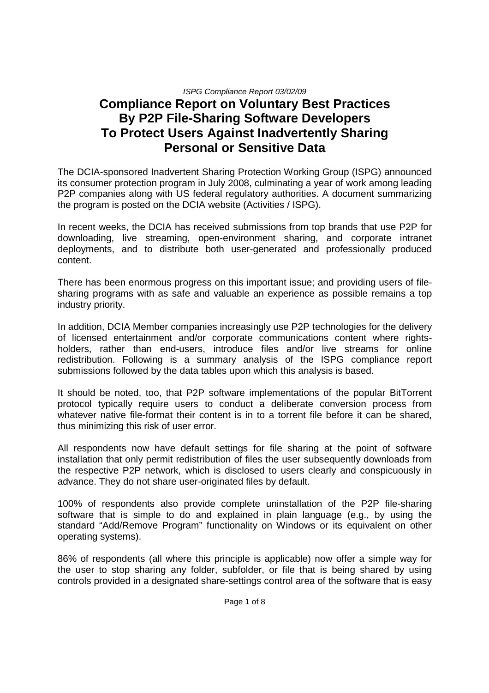# **Compliance Report on Voluntary Best Practices By P2P File-Sharing Software Developers To Protect Users Against Inadvertently Sharing Personal or Sensitive Data**

The DCIA-sponsored Inadvertent Sharing Protection Working Group (ISPG) announced its consumer protection program in July 2008, culminating a year of work among leading P2P companies along with US federal regulatory authorities. A document summarizing the program is posted on the DCIA website (Activities / ISPG).

In recent weeks, the DCIA has received submissions from top brands that use P2P for downloading, live streaming, open-environment sharing, and corporate intranet deployments, and to distribute both user-generated and professionally produced content.

There has been enormous progress on this important issue; and providing users of filesharing programs with as safe and valuable an experience as possible remains a top industry priority.

In addition, DCIA Member companies increasingly use P2P technologies for the delivery of licensed entertainment and/or corporate communications content where rightsholders, rather than end-users, introduce files and/or live streams for online redistribution. Following is a summary analysis of the ISPG compliance report submissions followed by the data tables upon which this analysis is based.

It should be noted, too, that P2P software implementations of the popular BitTorrent protocol typically require users to conduct a deliberate conversion process from whatever native file-format their content is in to a torrent file before it can be shared, thus minimizing this risk of user error.

All respondents now have default settings for file sharing at the point of software installation that only permit redistribution of files the user subsequently downloads from the respective P2P network, which is disclosed to users clearly and conspicuously in advance. They do not share user-originated files by default.

100% of respondents also provide complete uninstallation of the P2P file-sharing software that is simple to do and explained in plain language (e.g., by using the standard "Add/Remove Program" functionality on Windows or its equivalent on other operating systems).

86% of respondents (all where this principle is applicable) now offer a simple way for the user to stop sharing any folder, subfolder, or file that is being shared by using controls provided in a designated share-settings control area of the software that is easy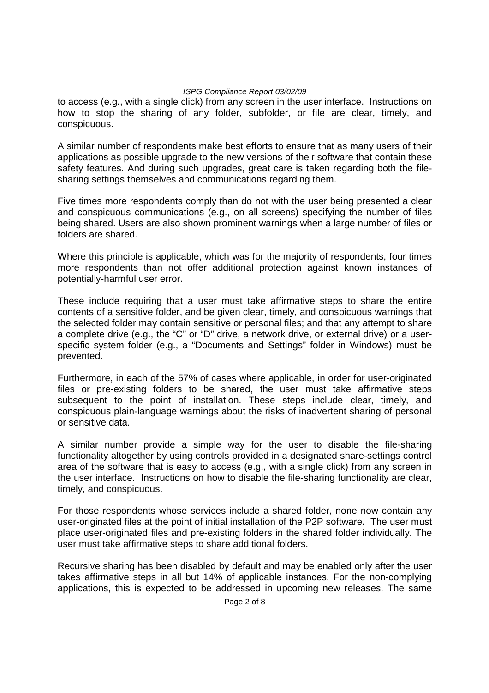to access (e.g., with a single click) from any screen in the user interface. Instructions on how to stop the sharing of any folder, subfolder, or file are clear, timely, and conspicuous.

A similar number of respondents make best efforts to ensure that as many users of their applications as possible upgrade to the new versions of their software that contain these safety features. And during such upgrades, great care is taken regarding both the filesharing settings themselves and communications regarding them.

Five times more respondents comply than do not with the user being presented a clear and conspicuous communications (e.g., on all screens) specifying the number of files being shared. Users are also shown prominent warnings when a large number of files or folders are shared.

Where this principle is applicable, which was for the majority of respondents, four times more respondents than not offer additional protection against known instances of potentially-harmful user error.

These include requiring that a user must take affirmative steps to share the entire contents of a sensitive folder, and be given clear, timely, and conspicuous warnings that the selected folder may contain sensitive or personal files; and that any attempt to share a complete drive (e.g., the "C" or "D" drive, a network drive, or external drive) or a userspecific system folder (e.g., a "Documents and Settings" folder in Windows) must be prevented.

Furthermore, in each of the 57% of cases where applicable, in order for user-originated files or pre-existing folders to be shared, the user must take affirmative steps subsequent to the point of installation. These steps include clear, timely, and conspicuous plain-language warnings about the risks of inadvertent sharing of personal or sensitive data.

A similar number provide a simple way for the user to disable the file-sharing functionality altogether by using controls provided in a designated share-settings control area of the software that is easy to access (e.g., with a single click) from any screen in the user interface. Instructions on how to disable the file-sharing functionality are clear, timely, and conspicuous.

For those respondents whose services include a shared folder, none now contain any user-originated files at the point of initial installation of the P2P software. The user must place user-originated files and pre-existing folders in the shared folder individually. The user must take affirmative steps to share additional folders.

Recursive sharing has been disabled by default and may be enabled only after the user takes affirmative steps in all but 14% of applicable instances. For the non-complying applications, this is expected to be addressed in upcoming new releases. The same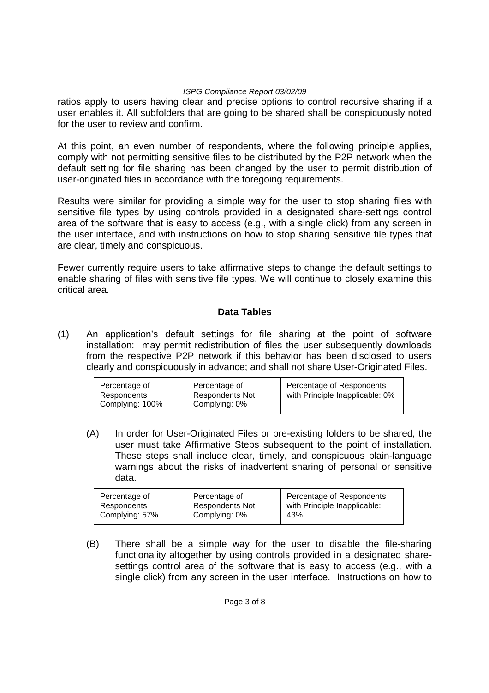ratios apply to users having clear and precise options to control recursive sharing if a user enables it. All subfolders that are going to be shared shall be conspicuously noted for the user to review and confirm.

At this point, an even number of respondents, where the following principle applies, comply with not permitting sensitive files to be distributed by the P2P network when the default setting for file sharing has been changed by the user to permit distribution of user-originated files in accordance with the foregoing requirements.

Results were similar for providing a simple way for the user to stop sharing files with sensitive file types by using controls provided in a designated share-settings control area of the software that is easy to access (e.g., with a single click) from any screen in the user interface, and with instructions on how to stop sharing sensitive file types that are clear, timely and conspicuous.

Fewer currently require users to take affirmative steps to change the default settings to enable sharing of files with sensitive file types. We will continue to closely examine this critical area.

## **Data Tables**

(1) An application's default settings for file sharing at the point of software installation: may permit redistribution of files the user subsequently downloads from the respective P2P network if this behavior has been disclosed to users clearly and conspicuously in advance; and shall not share User-Originated Files.

| Percentage of<br>Respondents<br>Complying: 100% | Percentage of<br><b>Respondents Not</b><br>Complying: 0% | Percentage of Respondents<br>with Principle Inapplicable: 0% |
|-------------------------------------------------|----------------------------------------------------------|--------------------------------------------------------------|
|-------------------------------------------------|----------------------------------------------------------|--------------------------------------------------------------|

(A) In order for User-Originated Files or pre-existing folders to be shared, the user must take Affirmative Steps subsequent to the point of installation. These steps shall include clear, timely, and conspicuous plain-language warnings about the risks of inadvertent sharing of personal or sensitive data.

| Percentage of  | Percentage of          | Percentage of Respondents    |
|----------------|------------------------|------------------------------|
| Respondents    | <b>Respondents Not</b> | with Principle Inapplicable: |
| Complying: 57% | Complying: 0%          | 43%                          |

(B) There shall be a simple way for the user to disable the file-sharing functionality altogether by using controls provided in a designated sharesettings control area of the software that is easy to access (e.g., with a single click) from any screen in the user interface. Instructions on how to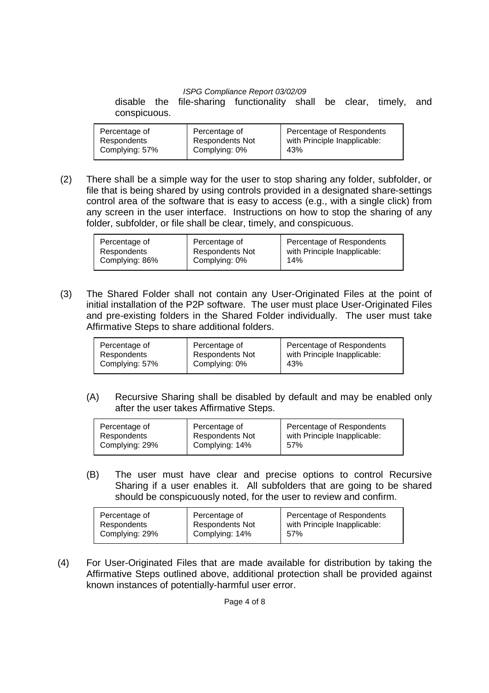disable the file-sharing functionality shall be clear, timely, and conspicuous.

| Percentage of  | Percentage of          | Percentage of Respondents    |
|----------------|------------------------|------------------------------|
| Respondents    | <b>Respondents Not</b> | with Principle Inapplicable: |
| Complying: 57% | Complying: 0%          | 43%                          |

 (2) There shall be a simple way for the user to stop sharing any folder, subfolder, or file that is being shared by using controls provided in a designated share-settings control area of the software that is easy to access (e.g., with a single click) from any screen in the user interface. Instructions on how to stop the sharing of any folder, subfolder, or file shall be clear, timely, and conspicuous.

| Percentage of<br>Percentage of<br><b>Respondents Not</b><br>Respondents<br>Complying: 86%<br>Complying: 0% | Percentage of Respondents<br>with Principle Inapplicable:<br>14% |
|------------------------------------------------------------------------------------------------------------|------------------------------------------------------------------|
|------------------------------------------------------------------------------------------------------------|------------------------------------------------------------------|

 (3) The Shared Folder shall not contain any User-Originated Files at the point of initial installation of the P2P software. The user must place User-Originated Files and pre-existing folders in the Shared Folder individually. The user must take Affirmative Steps to share additional folders.

| Percentage of Respondents<br>Percentage of<br>Percentage of<br><b>Respondents Not</b><br>with Principle Inapplicable:<br>Respondents<br>Complying: 57%<br>Complying: 0%<br>43% |
|--------------------------------------------------------------------------------------------------------------------------------------------------------------------------------|
|--------------------------------------------------------------------------------------------------------------------------------------------------------------------------------|

 (A) Recursive Sharing shall be disabled by default and may be enabled only after the user takes Affirmative Steps.

| Percentage of  | Percentage of          | Percentage of Respondents    |
|----------------|------------------------|------------------------------|
| Respondents    | <b>Respondents Not</b> | with Principle Inapplicable: |
| Complying: 29% | Complying: 14%         | 57%                          |

 (B) The user must have clear and precise options to control Recursive Sharing if a user enables it. All subfolders that are going to be shared should be conspicuously noted, for the user to review and confirm.

| Percentage of<br>Percentage of<br><b>Respondents Not</b><br>Respondents<br>Complying: 29%<br>Complying: 14% | Percentage of Respondents<br>with Principle Inapplicable:<br>57% |
|-------------------------------------------------------------------------------------------------------------|------------------------------------------------------------------|
|-------------------------------------------------------------------------------------------------------------|------------------------------------------------------------------|

(4) For User-Originated Files that are made available for distribution by taking the Affirmative Steps outlined above, additional protection shall be provided against known instances of potentially-harmful user error.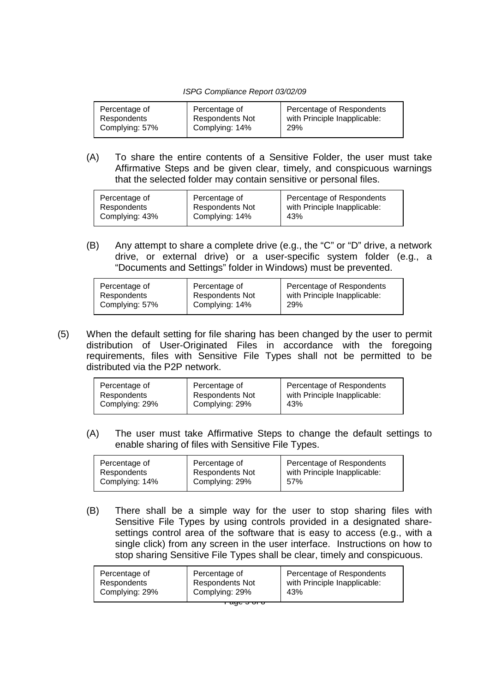| Percentage of  | Percentage of          | Percentage of Respondents    |
|----------------|------------------------|------------------------------|
| Respondents    | <b>Respondents Not</b> | with Principle Inapplicable: |
| Complying: 57% | Complying: 14%         | 29%                          |
|                |                        |                              |

 (A) To share the entire contents of a Sensitive Folder, the user must take Affirmative Steps and be given clear, timely, and conspicuous warnings that the selected folder may contain sensitive or personal files.

| Percentage of  | Percentage of          | Percentage of Respondents    |
|----------------|------------------------|------------------------------|
| Respondents    | <b>Respondents Not</b> | with Principle Inapplicable: |
| Complying: 43% | Complying: 14%         | 43%                          |
|                |                        |                              |

 (B) Any attempt to share a complete drive (e.g., the "C" or "D" drive, a network drive, or external drive) or a user-specific system folder (e.g., a "Documents and Settings" folder in Windows) must be prevented.

| Percentage of  | Percentage of          | Percentage of Respondents    |
|----------------|------------------------|------------------------------|
| Respondents    | <b>Respondents Not</b> | with Principle Inapplicable: |
| Complying: 57% | Complying: 14%         | 29%                          |
|                |                        |                              |

(5) When the default setting for file sharing has been changed by the user to permit distribution of User-Originated Files in accordance with the foregoing requirements, files with Sensitive File Types shall not be permitted to be distributed via the P2P network.

| Percentage of  | Percentage of          | Percentage of Respondents    |
|----------------|------------------------|------------------------------|
| Respondents    | <b>Respondents Not</b> | with Principle Inapplicable: |
| Complying: 29% | Complying: 29%         | 43%                          |

 (A) The user must take Affirmative Steps to change the default settings to enable sharing of files with Sensitive File Types.

| Percentage of  | Percentage of          | Percentage of Respondents    |  |
|----------------|------------------------|------------------------------|--|
| Respondents    | <b>Respondents Not</b> | with Principle Inapplicable: |  |
| Complying: 14% | Complying: 29%         | 57%                          |  |
|                |                        |                              |  |

 (B) There shall be a simple way for the user to stop sharing files with Sensitive File Types by using controls provided in a designated sharesettings control area of the software that is easy to access (e.g., with a single click) from any screen in the user interface. Instructions on how to stop sharing Sensitive File Types shall be clear, timely and conspicuous.

| Percentage of<br>Percentage of<br><b>Respondents Not</b><br>Respondents<br>Complying: 29%<br>Complying: 29%<br>43% | Percentage of Respondents<br>with Principle Inapplicable: |
|--------------------------------------------------------------------------------------------------------------------|-----------------------------------------------------------|
|--------------------------------------------------------------------------------------------------------------------|-----------------------------------------------------------|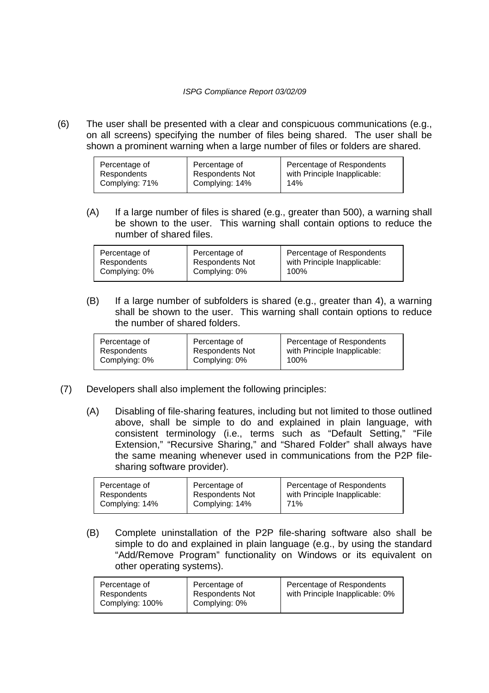(6) The user shall be presented with a clear and conspicuous communications (e.g., on all screens) specifying the number of files being shared. The user shall be shown a prominent warning when a large number of files or folders are shared.

| Percentage of Respondents<br>Percentage of<br>Percentage of<br>with Principle Inapplicable:<br><b>Respondents Not</b><br>Respondents<br>Complying: 71%<br>Complying: 14%<br>14% |
|---------------------------------------------------------------------------------------------------------------------------------------------------------------------------------|
|---------------------------------------------------------------------------------------------------------------------------------------------------------------------------------|

 (A) If a large number of files is shared (e.g., greater than 500), a warning shall be shown to the user. This warning shall contain options to reduce the number of shared files.

| Percentage of | Percentage of          | Percentage of Respondents    |
|---------------|------------------------|------------------------------|
| Respondents   | <b>Respondents Not</b> | with Principle Inapplicable: |
| Complying: 0% | Complying: 0%          | 100%                         |

(B) If a large number of subfolders is shared (e.g., greater than 4), a warning shall be shown to the user. This warning shall contain options to reduce the number of shared folders.

| Complying: 0%<br>Complying: 0%<br>100% |
|----------------------------------------|
|----------------------------------------|

- (7) Developers shall also implement the following principles:
	- (A) Disabling of file-sharing features, including but not limited to those outlined above, shall be simple to do and explained in plain language, with consistent terminology (i.e., terms such as "Default Setting," "File Extension," "Recursive Sharing," and "Shared Folder" shall always have the same meaning whenever used in communications from the P2P filesharing software provider).

| Percentage of  | Percentage of          | Percentage of Respondents    |
|----------------|------------------------|------------------------------|
| Respondents    | <b>Respondents Not</b> | with Principle Inapplicable: |
| Complying: 14% | Complying: 14%         | 71%                          |

(B) Complete uninstallation of the P2P file-sharing software also shall be simple to do and explained in plain language (e.g., by using the standard "Add/Remove Program" functionality on Windows or its equivalent on other operating systems).

| Percentage of<br>Respondents<br>Complying: 100% | Percentage of<br><b>Respondents Not</b><br>Complying: 0% | Percentage of Respondents<br>with Principle Inapplicable: 0% |
|-------------------------------------------------|----------------------------------------------------------|--------------------------------------------------------------|
|                                                 |                                                          |                                                              |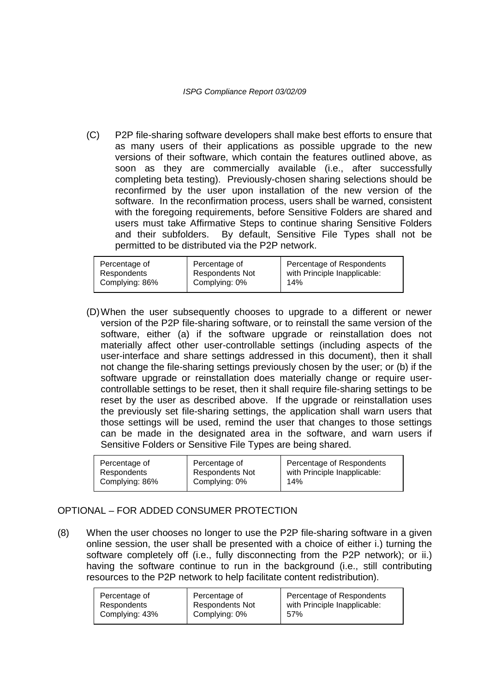(C) P2P file-sharing software developers shall make best efforts to ensure that as many users of their applications as possible upgrade to the new versions of their software, which contain the features outlined above, as soon as they are commercially available (i.e., after successfully completing beta testing). Previously-chosen sharing selections should be reconfirmed by the user upon installation of the new version of the software. In the reconfirmation process, users shall be warned, consistent with the foregoing requirements, before Sensitive Folders are shared and users must take Affirmative Steps to continue sharing Sensitive Folders and their subfolders. By default, Sensitive File Types shall not be permitted to be distributed via the P2P network.

| Respondents<br>Complying: 86%<br>Complying: 0%<br>14% | Percentage of | Percentage of<br><b>Respondents Not</b> | Percentage of Respondents<br>with Principle Inapplicable: |
|-------------------------------------------------------|---------------|-----------------------------------------|-----------------------------------------------------------|
|-------------------------------------------------------|---------------|-----------------------------------------|-----------------------------------------------------------|

(D) When the user subsequently chooses to upgrade to a different or newer version of the P2P file-sharing software, or to reinstall the same version of the software, either (a) if the software upgrade or reinstallation does not materially affect other user-controllable settings (including aspects of the user-interface and share settings addressed in this document), then it shall not change the file-sharing settings previously chosen by the user; or (b) if the software upgrade or reinstallation does materially change or require usercontrollable settings to be reset, then it shall require file-sharing settings to be reset by the user as described above. If the upgrade or reinstallation uses the previously set file-sharing settings, the application shall warn users that those settings will be used, remind the user that changes to those settings can be made in the designated area in the software, and warn users if Sensitive Folders or Sensitive File Types are being shared.

| Percentage of<br>Respondents | Percentage of<br><b>Respondents Not</b> | Percentage of Respondents<br>with Principle Inapplicable:<br>14% |
|------------------------------|-----------------------------------------|------------------------------------------------------------------|
| Complying: 86%               | Complying: 0%                           |                                                                  |

## OPTIONAL – FOR ADDED CONSUMER PROTECTION

(8) When the user chooses no longer to use the P2P file-sharing software in a given online session, the user shall be presented with a choice of either i.) turning the software completely off (i.e., fully disconnecting from the P2P network); or ii.) having the software continue to run in the background (i.e., still contributing resources to the P2P network to help facilitate content redistribution).

| Percentage of  | Percentage of          | Percentage of Respondents    |
|----------------|------------------------|------------------------------|
| Respondents    | <b>Respondents Not</b> | with Principle Inapplicable: |
| Complying: 43% | Complying: 0%          | 57%                          |